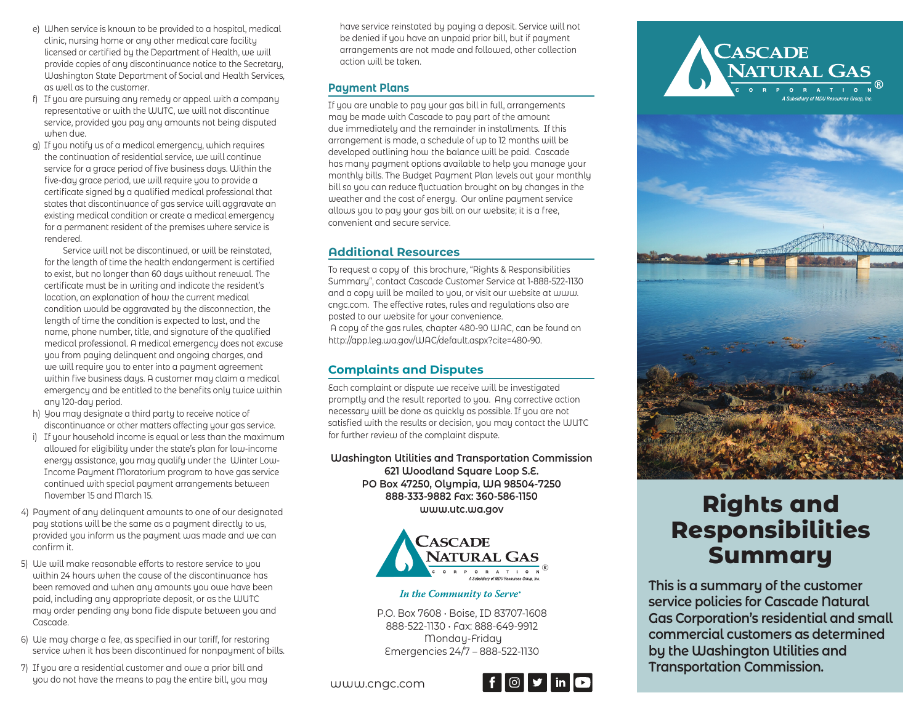- e) When service is known to be provided to a hospital, medical clinic, nursing home or any other medical care facility licensed or certified by the Department of Health, we will provide copies of any discontinuance notice to the Secretary, Washington State Department of Social and Health Services, as well as to the customer.
- f) If you are pursuing any remedy or appeal with a company representative or with the WUTC, we will not discontinue service, provided you pay any amounts not being disputed when due.
- g) If you notify us of a medical emergency, which requires the continuation of residential service, we will continue service for a grace period of five business days. Within the five-day grace period, we will require you to provide a certificate signed by a qualified medical professional that states that discontinuance of gas service will aggravate an existing medical condition or create a medical emergency for a permanent resident of the premises where service is rendered.

Service will not be discontinued, or will be reinstated for the length of time the health endangerment is certified to exist, but no longer than 60 days without renewal. The certificate must be in writing and indicate the resident's location, an explanation of how the current medical condition would be aggravated by the disconnection, the length of time the condition is expected to last, and the name, phone number, title, and signature of the qualified medical professional. A medical emergency does not excuse you from paying delinquent and ongoing charges, and we will require you to enter into a payment agreement within five business days. A customer may claim a medical emergency and be entitled to the benefits only twice within any 120-day period.

- h) You may designate a third party to receive notice of discontinuance or other matters affecting your gas service.
- i) If your household income is equal or less than the maximum allowed for eligibility under the state's plan for low-income energy assistance, you may qualify under the Winter Low-Income Payment Moratorium program to have gas service continued with special payment arrangements between November 15 and March 15.
- 4) Payment of any delinquent amounts to one of our designated pay stations will be the same as a payment directly to us, provided you inform us the payment was made and we can confirm it.
- 5) We will make reasonable efforts to restore service to you within 24 hours when the cause of the discontinuance has been removed and when any amounts you owe have been paid, including any appropriate deposit, or as the WUTC may order pending any bona fide dispute between you and Cascade.
- 6) We may charge a fee, as specified in our tariff, for restoring service when it has been discontinued for nonpayment of bills.
- 7) If you are a residential customer and owe a prior bill and you do not have the means to pay the entire bill, you may www.cngc.com

have service reinstated by paying a deposit. Service will not be denied if you have an unpaid prior bill, but if payment arrangements are not made and followed, other collection action will be taken.

# **Payment Plans**

If you are unable to pay your gas bill in full, arrangements may be made with Cascade to pay part of the amount due immediately and the remainder in installments. If this arrangement is made, a schedule of up to 12 months will be developed outlining how the balance will be paid. Cascade has many payment options available to help you manage your monthly bills. The Budget Payment Plan levels out your monthly bill so you can reduce fluctuation brought on by changes in the weather and the cost of energy. Our online payment service allows you to pay your gas bill on our website; it is a free, convenient and secure service.

# **Additional Resources**

To request a copy of this brochure, "Rights & Responsibilities Summary", contact Cascade Customer Service at 1-888-522-1130 and a copy will be mailed to you, or visit our website at www. cngc.com. The effective rates, rules and regulations also are posted to our website for your convenience. A copy of the gas rules, chapter 480-90 WAC, can be found on http://app.leg.wa.gov/WAC/default.aspx?cite=480-90.

# **Complaints and Disputes**

Each complaint or dispute we receive will be investigated promptly and the result reported to you. Any corrective action necessary will be done as quickly as possible. If you are not satisfied with the results or decision, you may contact the WUTC for further review of the complaint dispute.

**Washington Utilities and Transportation Commission 621 Woodland Square Loop S.E. PO Box 47250, Olympia, WA 98504-7250 888-333-9882 Fax: 360-586-1150 www.utc.wa.gov**



#### In the Community to Serve®

P.O. Box 7608 • Boise, ID 83707-1608 888-522-1130 • Fax: 888-649-9912 Monday-Friday Emergencies 24/7 – 888-522-1130





# **Rights and Responsibilities Summary**

**This is a summary of the customer service policies for Cascade Natural Gas Corporation's residential and small commercial customers as determined by the Washington Utilities and Transportation Commission.**